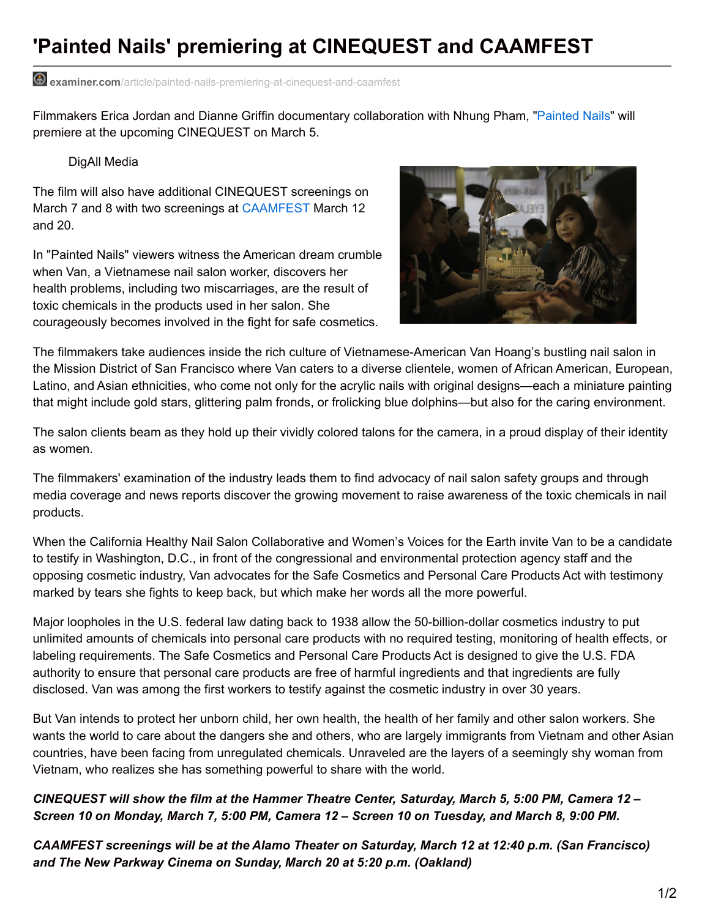## **'Painted Nails' premiering at CINEQUEST and CAAMFEST**

**examiner.com**[/article/painted-nails-premiering-at-cinequest-and-caamfest](http://www.examiner.com/article/painted-nails-premiering-at-cinequest-and-caamfest)

Filmmakers Erica Jordan and Dianne Griffin documentary collaboration with Nhung Pham, ["Painted](http://paintednailsmovie.com/) Nails" will premiere at the upcoming CINEQUEST on March 5.

## DigAll Media

The film will also have additional CINEQUEST screenings on March 7 and 8 with two screenings at [CAAMFEST](http://www.examiner.com/topic/caamfest) March 12 and 20.

In "Painted Nails" viewers witness the American dream crumble when Van, a Vietnamese nail salon worker, discovers her health problems, including two miscarriages, are the result of toxic chemicals in the products used in her salon. She courageously becomes involved in the fight for safe cosmetics.



The filmmakers take audiences inside the rich culture of Vietnamese-American Van Hoang's bustling nail salon in the Mission District of San Francisco where Van caters to a diverse clientele, women of African American, European, Latino, and Asian ethnicities, who come not only for the acrylic nails with original designs—each a miniature painting that might include gold stars, glittering palm fronds, or frolicking blue dolphins—but also for the caring environment.

The salon clients beam as they hold up their vividly colored talons for the camera, in a proud display of their identity as women.

The filmmakers' examination of the industry leads them to find advocacy of nail salon safety groups and through media coverage and news reports discover the growing movement to raise awareness of the toxic chemicals in nail products.

When the California Healthy Nail Salon Collaborative and Women's Voices for the Earth invite Van to be a candidate to testify in Washington, D.C., in front of the congressional and environmental protection agency staff and the opposing cosmetic industry, Van advocates for the Safe Cosmetics and Personal Care Products Act with testimony marked by tears she fights to keep back, but which make her words all the more powerful.

Major loopholes in the U.S. federal law dating back to 1938 allow the 50-billion-dollar cosmetics industry to put unlimited amounts of chemicals into personal care products with no required testing, monitoring of health effects, or labeling requirements. The Safe Cosmetics and Personal Care Products Act is designed to give the U.S. FDA authority to ensure that personal care products are free of harmful ingredients and that ingredients are fully disclosed. Van was among the first workers to testify against the cosmetic industry in over 30 years.

But Van intends to protect her unborn child, her own health, the health of her family and other salon workers. She wants the world to care about the dangers she and others, who are largely immigrants from Vietnam and other Asian countries, have been facing from unregulated chemicals. Unraveled are the layers of a seemingly shy woman from Vietnam, who realizes she has something powerful to share with the world.

*CINEQUEST will show the film at the Hammer Theatre Center, Saturday, March 5, 5:00 PM, Camera 12 –* Screen 10 on Monday, March 7, 5:00 PM, Camera 12 - Screen 10 on Tuesday, and March 8, 9:00 PM.

*CAAMFEST screenings will be at the Alamo Theater on Saturday, March 12 at 12:40 p.m. (San Francisco) and The New Parkway Cinema on Sunday, March 20 at 5:20 p.m. (Oakland)*